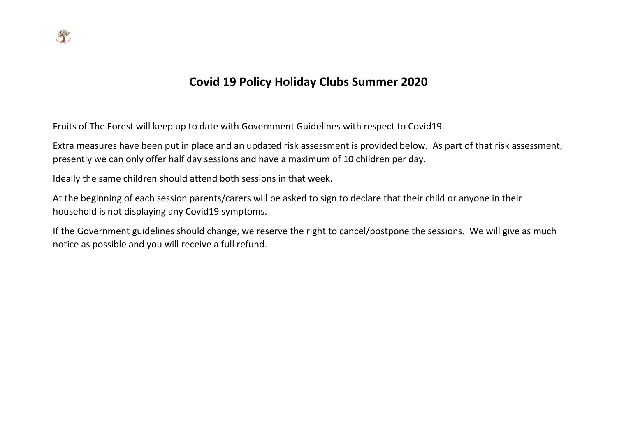

## **Covid 19 Policy Holiday Clubs Summer 2020**

Fruits of The Forest will keep up to date with Government Guidelines with respect to Covid19.

Extra measures have been put in place and an updated risk assessment is provided below. As part of that risk assessment, presently we can only offer half day sessions and have a maximum of 10 children per day.

Ideally the same children should attend both sessions in that week.

At the beginning of each session parents/carers will be asked to sign to declare that their child or anyone in their household is not displaying any Covid19 symptoms.

If the Government guidelines should change, we reserve the right to cancel/postpone the sessions. We will give as much notice as possible and you will receive a full refund.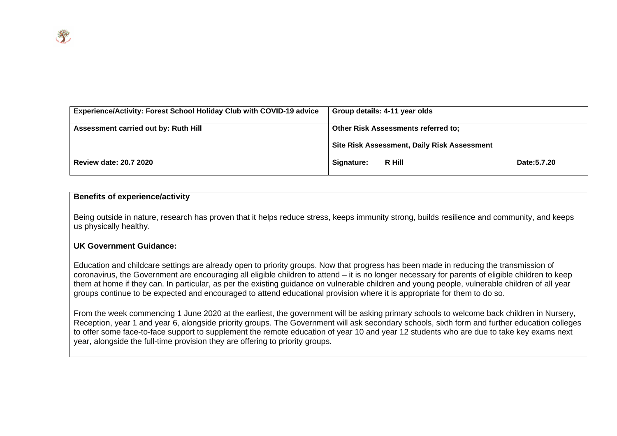| <b>Experience/Activity: Forest School Holiday Club with COVID-19 advice</b> | Group details: 4-11 year olds               |  |
|-----------------------------------------------------------------------------|---------------------------------------------|--|
| Assessment carried out by: Ruth Hill                                        | <b>Other Risk Assessments referred to:</b>  |  |
|                                                                             | Site Risk Assessment, Daily Risk Assessment |  |
| <b>Review date: 20.7 2020</b>                                               | R Hill<br>Date: 5.7.20<br>Signature:        |  |

## **Benefits of experience/activity**

Being outside in nature, research has proven that it helps reduce stress, keeps immunity strong, builds resilience and community, and keeps us physically healthy.

## **UK Government Guidance:**

Education and childcare settings are already open to priority groups. Now that progress has been made in reducing the transmission of coronavirus, the Government are encouraging all eligible children to attend – it is no longer necessary for parents of eligible children to keep them at home if they can. In particular, as per the existing guidance on vulnerable children and young people, vulnerable children of all year groups continue to be expected and encouraged to attend educational provision where it is appropriate for them to do so.

From the week commencing 1 June 2020 at the earliest, the government will be asking primary schools to welcome back children in Nursery, Reception, year 1 and year 6, alongside priority groups. The Government will ask secondary schools, sixth form and further education colleges to offer some face-to-face support to supplement the remote education of year 10 and year 12 students who are due to take key exams next year, alongside the full-time provision they are offering to priority groups.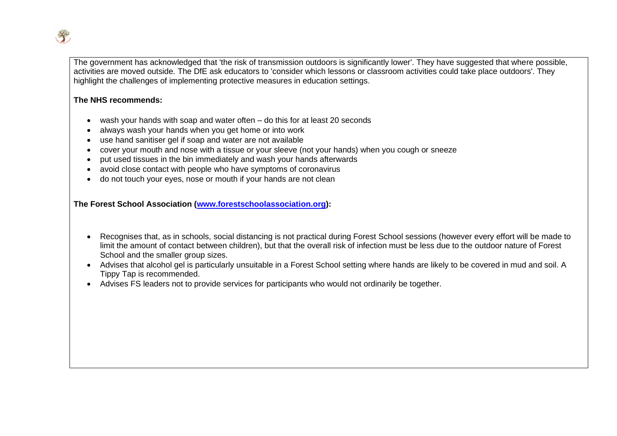

The government has acknowledged that 'the risk of transmission outdoors is significantly lower'. They have suggested that where possible, activities are moved outside. The DfE ask educators to 'consider which lessons or classroom activities could take place outdoors'. They highlight the challenges of implementing protective measures in education settings.

## **The NHS recommends:**

- wash your hands with soap and water often do this for at least 20 seconds
- always wash your hands when you get home or into work
- use hand sanitiser gel if soap and water are not available
- cover your mouth and nose with a tissue or your sleeve (not your hands) when you cough or sneeze
- put used tissues in the bin immediately and wash your hands afterwards
- avoid close contact with people who have symptoms of coronavirus
- do not touch your eyes, nose or mouth if your hands are not clean

**The Forest School Association [\(www.forestschoolassociation.org\)](http://www.forestschoolassociation.org/):**

- Recognises that, as in schools, social distancing is not practical during Forest School sessions (however every effort will be made to limit the amount of contact between children), but that the overall risk of infection must be less due to the outdoor nature of Forest School and the smaller group sizes.
- Advises that alcohol gel is particularly unsuitable in a Forest School setting where hands are likely to be covered in mud and soil. A Tippy Tap is recommended.
- Advises FS leaders not to provide services for participants who would not ordinarily be together.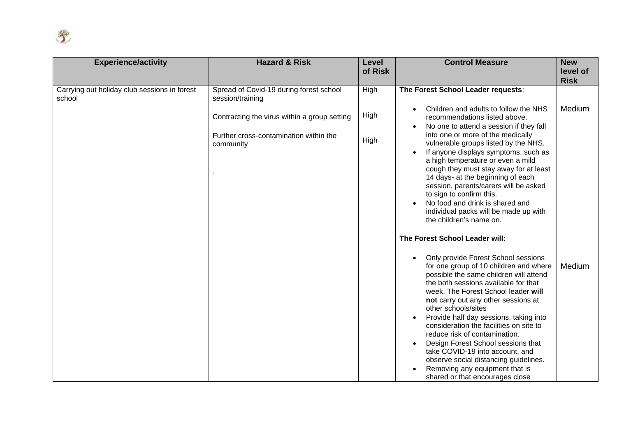

| <b>Experience/activity</b>                             | <b>Hazard &amp; Risk</b>                                                               | Level   | <b>Control Measure</b>                                                                                                                                                                                                                                                                                                                                                                                                                        | <b>New</b>              |
|--------------------------------------------------------|----------------------------------------------------------------------------------------|---------|-----------------------------------------------------------------------------------------------------------------------------------------------------------------------------------------------------------------------------------------------------------------------------------------------------------------------------------------------------------------------------------------------------------------------------------------------|-------------------------|
|                                                        |                                                                                        | of Risk |                                                                                                                                                                                                                                                                                                                                                                                                                                               | level of<br><b>Risk</b> |
| Carrying out holiday club sessions in forest<br>school | Spread of Covid-19 during forest school<br>session/training                            | High    | The Forest School Leader requests:                                                                                                                                                                                                                                                                                                                                                                                                            |                         |
|                                                        | Contracting the virus within a group setting<br>Further cross-contamination within the | High    | Children and adults to follow the NHS<br>recommendations listed above.<br>No one to attend a session if they fall<br>into one or more of the medically                                                                                                                                                                                                                                                                                        | Medium                  |
|                                                        | community                                                                              | High    | vulnerable groups listed by the NHS.<br>If anyone displays symptoms, such as<br>a high temperature or even a mild<br>cough they must stay away for at least<br>14 days- at the beginning of each<br>session, parents/carers will be asked<br>to sign to confirm this.<br>No food and drink is shared and<br>individual packs will be made up with<br>the children's name on.                                                                  |                         |
|                                                        |                                                                                        |         | The Forest School Leader will:                                                                                                                                                                                                                                                                                                                                                                                                                |                         |
|                                                        |                                                                                        |         | Only provide Forest School sessions<br>$\bullet$<br>for one group of 10 children and where<br>possible the same children will attend<br>the both sessions available for that<br>week. The Forest School leader will<br>not carry out any other sessions at<br>other schools/sites<br>Provide half day sessions, taking into<br>consideration the facilities on site to<br>reduce risk of contamination.<br>Design Forest School sessions that | Medium                  |
|                                                        |                                                                                        |         | take COVID-19 into account, and<br>observe social distancing guidelines.<br>Removing any equipment that is<br>shared or that encourages close                                                                                                                                                                                                                                                                                                 |                         |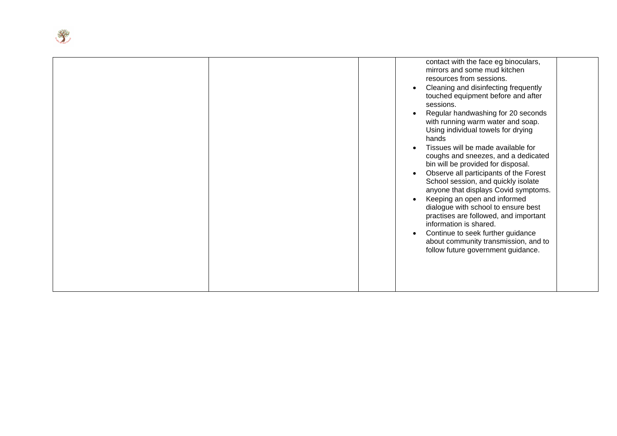|  | contact with the face eg binoculars,<br>mirrors and some mud kitchen<br>resources from sessions.<br>Cleaning and disinfecting frequently<br>$\bullet$<br>touched equipment before and after<br>sessions.<br>Regular handwashing for 20 seconds<br>with running warm water and soap.<br>Using individual towels for drying<br>hands<br>Tissues will be made available for<br>coughs and sneezes, and a dedicated<br>bin will be provided for disposal.<br>Observe all participants of the Forest<br>$\bullet$<br>School session, and quickly isolate<br>anyone that displays Covid symptoms.<br>Keeping an open and informed<br>dialogue with school to ensure best<br>practises are followed, and important<br>information is shared.<br>Continue to seek further guidance<br>$\bullet$<br>about community transmission, and to<br>follow future government guidance. |
|--|-----------------------------------------------------------------------------------------------------------------------------------------------------------------------------------------------------------------------------------------------------------------------------------------------------------------------------------------------------------------------------------------------------------------------------------------------------------------------------------------------------------------------------------------------------------------------------------------------------------------------------------------------------------------------------------------------------------------------------------------------------------------------------------------------------------------------------------------------------------------------|
|--|-----------------------------------------------------------------------------------------------------------------------------------------------------------------------------------------------------------------------------------------------------------------------------------------------------------------------------------------------------------------------------------------------------------------------------------------------------------------------------------------------------------------------------------------------------------------------------------------------------------------------------------------------------------------------------------------------------------------------------------------------------------------------------------------------------------------------------------------------------------------------|

**Replacement**